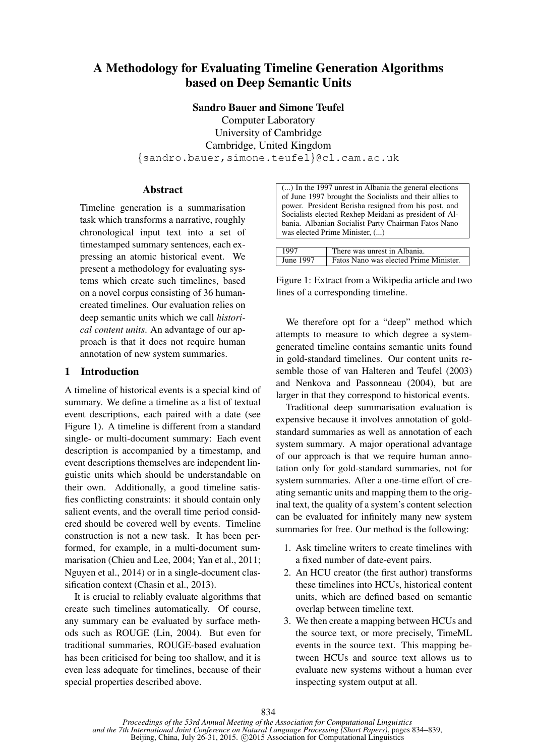# A Methodology for Evaluating Timeline Generation Algorithms based on Deep Semantic Units

Sandro Bauer and Simone Teufel

Computer Laboratory University of Cambridge Cambridge, United Kingdom {sandro.bauer,simone.teufel}@cl.cam.ac.uk

# Abstract

Timeline generation is a summarisation task which transforms a narrative, roughly chronological input text into a set of timestamped summary sentences, each expressing an atomic historical event. We present a methodology for evaluating systems which create such timelines, based on a novel corpus consisting of 36 humancreated timelines. Our evaluation relies on deep semantic units which we call *historical content units*. An advantage of our approach is that it does not require human annotation of new system summaries.

# 1 Introduction

A timeline of historical events is a special kind of summary. We define a timeline as a list of textual event descriptions, each paired with a date (see Figure 1). A timeline is different from a standard single- or multi-document summary: Each event description is accompanied by a timestamp, and event descriptions themselves are independent linguistic units which should be understandable on their own. Additionally, a good timeline satisfies conflicting constraints: it should contain only salient events, and the overall time period considered should be covered well by events. Timeline construction is not a new task. It has been performed, for example, in a multi-document summarisation (Chieu and Lee, 2004; Yan et al., 2011; Nguyen et al., 2014) or in a single-document classification context (Chasin et al., 2013).

It is crucial to reliably evaluate algorithms that create such timelines automatically. Of course, any summary can be evaluated by surface methods such as ROUGE (Lin, 2004). But even for traditional summaries, ROUGE-based evaluation has been criticised for being too shallow, and it is even less adequate for timelines, because of their special properties described above.

(...) In the 1997 unrest in Albania the general elections of June 1997 brought the Socialists and their allies to power. President Berisha resigned from his post, and Socialists elected Rexhep Meidani as president of Albania. Albanian Socialist Party Chairman Fatos Nano was elected Prime Minister, (...)

| 1997      | There was unrest in Albania.           |
|-----------|----------------------------------------|
| June 1997 | Fatos Nano was elected Prime Minister. |

Figure 1: Extract from a Wikipedia article and two lines of a corresponding timeline.

We therefore opt for a "deep" method which attempts to measure to which degree a systemgenerated timeline contains semantic units found in gold-standard timelines. Our content units resemble those of van Halteren and Teufel (2003) and Nenkova and Passonneau (2004), but are larger in that they correspond to historical events.

Traditional deep summarisation evaluation is expensive because it involves annotation of goldstandard summaries as well as annotation of each system summary. A major operational advantage of our approach is that we require human annotation only for gold-standard summaries, not for system summaries. After a one-time effort of creating semantic units and mapping them to the original text, the quality of a system's content selection can be evaluated for infinitely many new system summaries for free. Our method is the following:

- 1. Ask timeline writers to create timelines with a fixed number of date-event pairs.
- 2. An HCU creator (the first author) transforms these timelines into HCUs, historical content units, which are defined based on semantic overlap between timeline text.
- 3. We then create a mapping between HCUs and the source text, or more precisely, TimeML events in the source text. This mapping between HCUs and source text allows us to evaluate new systems without a human ever inspecting system output at all.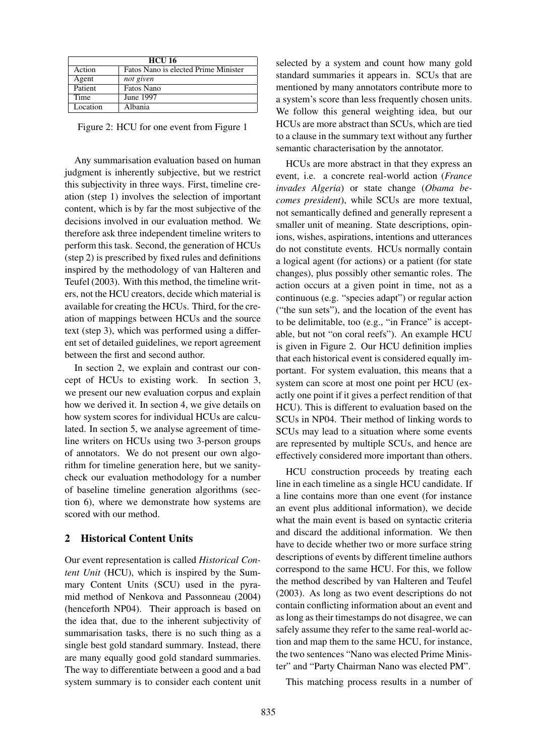| <b>HCU 16</b> |                                      |  |
|---------------|--------------------------------------|--|
| Action        | Fatos Nano is elected Prime Minister |  |
| Agent         | not given                            |  |
| Patient       | Fatos Nano                           |  |
| Time          | June 1997                            |  |
| Location      | Albania                              |  |

Figure 2: HCU for one event from Figure 1

Any summarisation evaluation based on human judgment is inherently subjective, but we restrict this subjectivity in three ways. First, timeline creation (step 1) involves the selection of important content, which is by far the most subjective of the decisions involved in our evaluation method. We therefore ask three independent timeline writers to perform this task. Second, the generation of HCUs (step 2) is prescribed by fixed rules and definitions inspired by the methodology of van Halteren and Teufel (2003). With this method, the timeline writers, not the HCU creators, decide which material is available for creating the HCUs. Third, for the creation of mappings between HCUs and the source text (step 3), which was performed using a different set of detailed guidelines, we report agreement between the first and second author.

In section 2, we explain and contrast our concept of HCUs to existing work. In section 3, we present our new evaluation corpus and explain how we derived it. In section 4, we give details on how system scores for individual HCUs are calculated. In section 5, we analyse agreement of timeline writers on HCUs using two 3-person groups of annotators. We do not present our own algorithm for timeline generation here, but we sanitycheck our evaluation methodology for a number of baseline timeline generation algorithms (section 6), where we demonstrate how systems are scored with our method.

# 2 Historical Content Units

Our event representation is called *Historical Content Unit* (HCU), which is inspired by the Summary Content Units (SCU) used in the pyramid method of Nenkova and Passonneau (2004) (henceforth NP04). Their approach is based on the idea that, due to the inherent subjectivity of summarisation tasks, there is no such thing as a single best gold standard summary. Instead, there are many equally good gold standard summaries. The way to differentiate between a good and a bad system summary is to consider each content unit selected by a system and count how many gold standard summaries it appears in. SCUs that are mentioned by many annotators contribute more to a system's score than less frequently chosen units. We follow this general weighting idea, but our HCUs are more abstract than SCUs, which are tied to a clause in the summary text without any further semantic characterisation by the annotator.

HCUs are more abstract in that they express an event, i.e. a concrete real-world action (*France invades Algeria*) or state change (*Obama becomes president*), while SCUs are more textual, not semantically defined and generally represent a smaller unit of meaning. State descriptions, opinions, wishes, aspirations, intentions and utterances do not constitute events. HCUs normally contain a logical agent (for actions) or a patient (for state changes), plus possibly other semantic roles. The action occurs at a given point in time, not as a continuous (e.g. "species adapt") or regular action ("the sun sets"), and the location of the event has to be delimitable, too (e.g., "in France" is acceptable, but not "on coral reefs"). An example HCU is given in Figure 2. Our HCU definition implies that each historical event is considered equally important. For system evaluation, this means that a system can score at most one point per HCU (exactly one point if it gives a perfect rendition of that HCU). This is different to evaluation based on the SCUs in NP04. Their method of linking words to SCUs may lead to a situation where some events are represented by multiple SCUs, and hence are effectively considered more important than others.

HCU construction proceeds by treating each line in each timeline as a single HCU candidate. If a line contains more than one event (for instance an event plus additional information), we decide what the main event is based on syntactic criteria and discard the additional information. We then have to decide whether two or more surface string descriptions of events by different timeline authors correspond to the same HCU. For this, we follow the method described by van Halteren and Teufel (2003). As long as two event descriptions do not contain conflicting information about an event and as long as their timestamps do not disagree, we can safely assume they refer to the same real-world action and map them to the same HCU, for instance, the two sentences "Nano was elected Prime Minister" and "Party Chairman Nano was elected PM".

This matching process results in a number of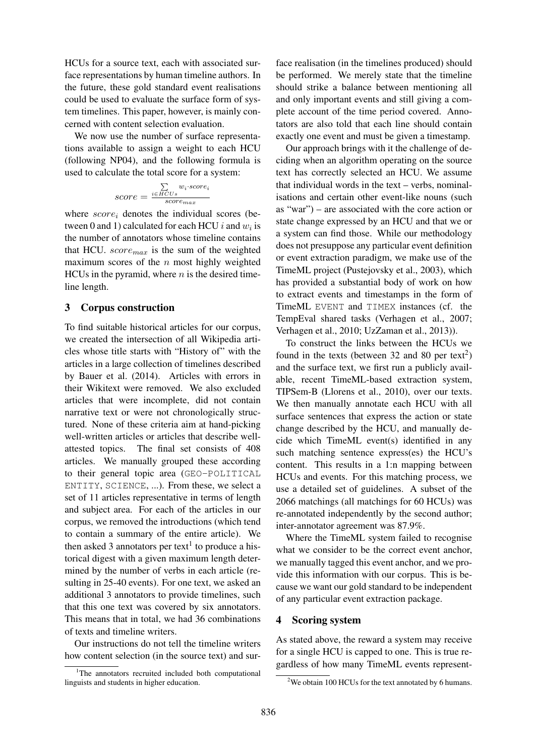HCUs for a source text, each with associated surface representations by human timeline authors. In the future, these gold standard event realisations could be used to evaluate the surface form of system timelines. This paper, however, is mainly concerned with content selection evaluation.

We now use the number of surface representations available to assign a weight to each HCU (following NP04), and the following formula is used to calculate the total score for a system:

$$
score = \frac{\sum\limits_{i \in HCUs} w_i \cdot score_i}{score_{max}}
$$

where  $score_i$  denotes the individual scores (between 0 and 1) calculated for each HCU  $i$  and  $w_i$  is the number of annotators whose timeline contains that HCU.  $score_{max}$  is the sum of the weighted maximum scores of the  $n$  most highly weighted HCUs in the pyramid, where  $n$  is the desired timeline length.

## 3 Corpus construction

To find suitable historical articles for our corpus, we created the intersection of all Wikipedia articles whose title starts with "History of" with the articles in a large collection of timelines described by Bauer et al. (2014). Articles with errors in their Wikitext were removed. We also excluded articles that were incomplete, did not contain narrative text or were not chronologically structured. None of these criteria aim at hand-picking well-written articles or articles that describe wellattested topics. The final set consists of 408 articles. We manually grouped these according to their general topic area (GEO-POLITICAL ENTITY, SCIENCE, ...). From these, we select a set of 11 articles representative in terms of length and subject area. For each of the articles in our corpus, we removed the introductions (which tend to contain a summary of the entire article). We then asked 3 annotators per text<sup>1</sup> to produce a historical digest with a given maximum length determined by the number of verbs in each article (resulting in 25-40 events). For one text, we asked an additional 3 annotators to provide timelines, such that this one text was covered by six annotators. This means that in total, we had 36 combinations of texts and timeline writers.

Our instructions do not tell the timeline writers how content selection (in the source text) and sur-

face realisation (in the timelines produced) should be performed. We merely state that the timeline should strike a balance between mentioning all and only important events and still giving a complete account of the time period covered. Annotators are also told that each line should contain exactly one event and must be given a timestamp.

Our approach brings with it the challenge of deciding when an algorithm operating on the source text has correctly selected an HCU. We assume that individual words in the text – verbs, nominalisations and certain other event-like nouns (such as "war") – are associated with the core action or state change expressed by an HCU and that we or a system can find those. While our methodology does not presuppose any particular event definition or event extraction paradigm, we make use of the TimeML project (Pustejovsky et al., 2003), which has provided a substantial body of work on how to extract events and timestamps in the form of TimeML EVENT and TIMEX instances (cf. the TempEval shared tasks (Verhagen et al., 2007; Verhagen et al., 2010; UzZaman et al., 2013)).

To construct the links between the HCUs we found in the texts (between 32 and 80 per text<sup>2</sup>) and the surface text, we first run a publicly available, recent TimeML-based extraction system, TIPSem-B (Llorens et al., 2010), over our texts. We then manually annotate each HCU with all surface sentences that express the action or state change described by the HCU, and manually decide which TimeML event(s) identified in any such matching sentence express(es) the HCU's content. This results in a 1:n mapping between HCUs and events. For this matching process, we use a detailed set of guidelines. A subset of the 2066 matchings (all matchings for 60 HCUs) was re-annotated independently by the second author; inter-annotator agreement was 87.9%.

Where the TimeML system failed to recognise what we consider to be the correct event anchor, we manually tagged this event anchor, and we provide this information with our corpus. This is because we want our gold standard to be independent of any particular event extraction package.

#### 4 Scoring system

As stated above, the reward a system may receive for a single HCU is capped to one. This is true regardless of how many TimeML events represent-

<sup>&</sup>lt;sup>1</sup>The annotators recruited included both computational linguists and students in higher education.

<sup>&</sup>lt;sup>2</sup>We obtain 100 HCUs for the text annotated by 6 humans.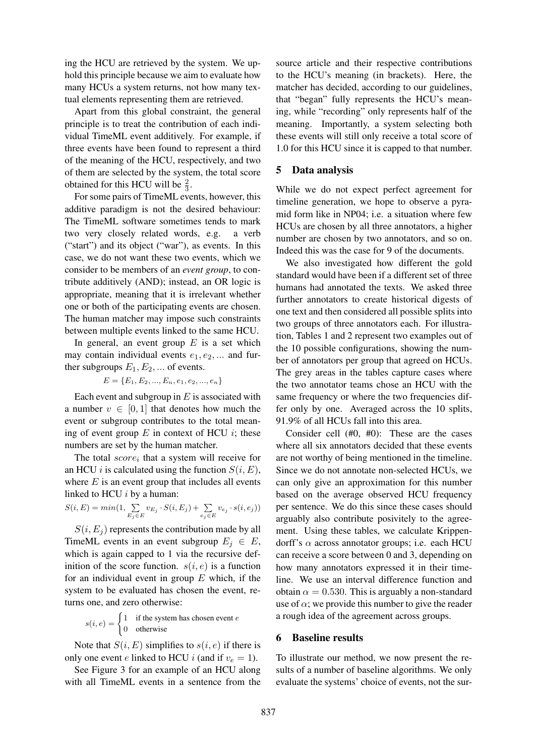ing the HCU are retrieved by the system. We uphold this principle because we aim to evaluate how many HCUs a system returns, not how many textual elements representing them are retrieved.

Apart from this global constraint, the general principle is to treat the contribution of each individual TimeML event additively. For example, if three events have been found to represent a third of the meaning of the HCU, respectively, and two of them are selected by the system, the total score obtained for this HCU will be  $\frac{2}{3}$ .

For some pairs of TimeML events, however, this additive paradigm is not the desired behaviour: The TimeML software sometimes tends to mark two very closely related words, e.g. a verb ("start") and its object ("war"), as events. In this case, we do not want these two events, which we consider to be members of an *event group*, to contribute additively (AND); instead, an OR logic is appropriate, meaning that it is irrelevant whether one or both of the participating events are chosen. The human matcher may impose such constraints between multiple events linked to the same HCU.

In general, an event group  $E$  is a set which may contain individual events  $e_1, e_2, \dots$  and further subgroups  $E_1, E_2, \dots$  of events.

$$
E = \{E_1, E_2, ..., E_n, e_1, e_2, ..., e_n\}
$$

Each event and subgroup in  $E$  is associated with a number  $v \in [0, 1]$  that denotes how much the event or subgroup contributes to the total meaning of event group  $E$  in context of HCU  $i$ ; these numbers are set by the human matcher.

The total  $score_i$  that a system will receive for an HCU *i* is calculated using the function  $S(i, E)$ , where  $E$  is an event group that includes all events linked to HCU  $i$  by a human:

$$
S(i, E) = min(1, \sum_{E_j \in E} v_{E_j} \cdot S(i, E_j) + \sum_{e_j \in E} v_{e_j} \cdot s(i, e_j))
$$

 $S(i, E<sub>j</sub>)$  represents the contribution made by all TimeML events in an event subgroup  $E_j \in E$ , which is again capped to 1 via the recursive definition of the score function.  $s(i, e)$  is a function for an individual event in group  $E$  which, if the system to be evaluated has chosen the event, returns one, and zero otherwise:

$$
s(i, e) = \begin{cases} 1 & \text{if the system has chosen event } e \\ 0 & \text{otherwise} \end{cases}
$$

Note that  $S(i, E)$  simplifies to  $s(i, e)$  if there is only one event e linked to HCU i (and if  $v_e = 1$ ).

See Figure 3 for an example of an HCU along with all TimeML events in a sentence from the source article and their respective contributions to the HCU's meaning (in brackets). Here, the matcher has decided, according to our guidelines, that "began" fully represents the HCU's meaning, while "recording" only represents half of the meaning. Importantly, a system selecting both these events will still only receive a total score of 1.0 for this HCU since it is capped to that number.

# 5 Data analysis

While we do not expect perfect agreement for timeline generation, we hope to observe a pyramid form like in NP04; i.e. a situation where few HCUs are chosen by all three annotators, a higher number are chosen by two annotators, and so on. Indeed this was the case for 9 of the documents.

We also investigated how different the gold standard would have been if a different set of three humans had annotated the texts. We asked three further annotators to create historical digests of one text and then considered all possible splits into two groups of three annotators each. For illustration, Tables 1 and 2 represent two examples out of the 10 possible configurations, showing the number of annotators per group that agreed on HCUs. The grey areas in the tables capture cases where the two annotator teams chose an HCU with the same frequency or where the two frequencies differ only by one. Averaged across the 10 splits, 91.9% of all HCUs fall into this area.

Consider cell (#0, #0): These are the cases where all six annotators decided that these events are not worthy of being mentioned in the timeline. Since we do not annotate non-selected HCUs, we can only give an approximation for this number based on the average observed HCU frequency per sentence. We do this since these cases should arguably also contribute posivitely to the agreement. Using these tables, we calculate Krippendorff's  $\alpha$  across annotator groups; i.e. each HCU can receive a score between 0 and 3, depending on how many annotators expressed it in their timeline. We use an interval difference function and obtain  $\alpha = 0.530$ . This is arguably a non-standard use of  $\alpha$ ; we provide this number to give the reader a rough idea of the agreement across groups.

## 6 Baseline results

To illustrate our method, we now present the results of a number of baseline algorithms. We only evaluate the systems' choice of events, not the sur-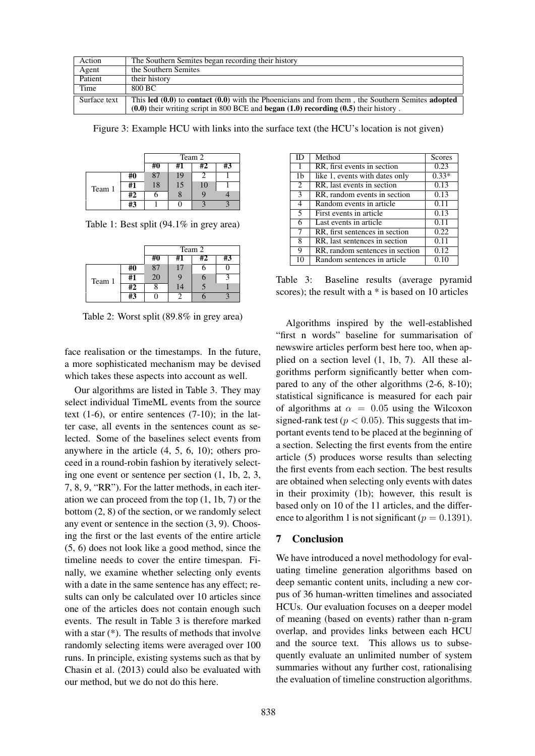| Action       | The Southern Semites began recording their history                                                   |
|--------------|------------------------------------------------------------------------------------------------------|
| Agent        | the Southern Semites                                                                                 |
| Patient      | their history                                                                                        |
| Time         | 800 BC                                                                                               |
| Surface text | This led $(0.0)$ to contact $(0.0)$ with the Phoenicians and from them, the Southern Semites adopted |
|              | $(0.0)$ their writing script in 800 BCE and began $(1.0)$ recording $(0.5)$ their history.           |

Figure 3: Example HCU with links into the surface text (the HCU's location is not given)

|        |    | Team 2 |    |    |    |
|--------|----|--------|----|----|----|
|        |    | #0     | #1 | #2 | #3 |
| Team 1 | #0 |        | 19 |    |    |
|        | #1 | 18     | 15 | 10 |    |
|        | #2 |        | ŏ  |    |    |
|        | #3 |        |    |    |    |

Table 1: Best split (94.1% in grey area)

|        |    | Team 2 |    |    |    |
|--------|----|--------|----|----|----|
|        |    |        | #1 | #2 | #3 |
| Team 1 | #0 | 87     | 17 |    |    |
|        | #1 | 20     |    |    |    |
|        | #2 |        | 14 |    |    |
|        | #3 |        |    |    |    |

Table 2: Worst split (89.8% in grey area)

face realisation or the timestamps. In the future, a more sophisticated mechanism may be devised which takes these aspects into account as well.

Our algorithms are listed in Table 3. They may select individual TimeML events from the source text (1-6), or entire sentences (7-10); in the latter case, all events in the sentences count as selected. Some of the baselines select events from anywhere in the article (4, 5, 6, 10); others proceed in a round-robin fashion by iteratively selecting one event or sentence per section (1, 1b, 2, 3, 7, 8, 9, "RR"). For the latter methods, in each iteration we can proceed from the top  $(1, 1b, 7)$  or the bottom (2, 8) of the section, or we randomly select any event or sentence in the section (3, 9). Choosing the first or the last events of the entire article (5, 6) does not look like a good method, since the timeline needs to cover the entire timespan. Finally, we examine whether selecting only events with a date in the same sentence has any effect; results can only be calculated over 10 articles since one of the articles does not contain enough such events. The result in Table 3 is therefore marked with a star (\*). The results of methods that involve randomly selecting items were averaged over 100 runs. In principle, existing systems such as that by Chasin et al. (2013) could also be evaluated with our method, but we do not do this here.

| ID             | Method                          | Scores  |
|----------------|---------------------------------|---------|
| 1              | RR, first events in section     | 0.23    |
| 1b             | like 1, events with dates only  | $0.33*$ |
| 2              | RR, last events in section      | 0.13    |
| 3              | RR, random events in section    | 0.13    |
| 4              | Random events in article        | 0.11    |
| $\overline{5}$ | First events in article         | 0.13    |
| 6              | Last events in article          | 0.11    |
| 7              | RR, first sentences in section  | 0.22    |
| 8              | RR, last sentences in section   | 0.11    |
| 9              | RR, random sentences in section | 0.12    |
| 10             | Random sentences in article     | 0.10    |

Table 3: Baseline results (average pyramid scores); the result with a \* is based on 10 articles

Algorithms inspired by the well-established "first n words" baseline for summarisation of newswire articles perform best here too, when applied on a section level (1, 1b, 7). All these algorithms perform significantly better when compared to any of the other algorithms (2-6, 8-10); statistical significance is measured for each pair of algorithms at  $\alpha = 0.05$  using the Wilcoxon signed-rank test ( $p < 0.05$ ). This suggests that important events tend to be placed at the beginning of a section. Selecting the first events from the entire article (5) produces worse results than selecting the first events from each section. The best results are obtained when selecting only events with dates in their proximity (1b); however, this result is based only on 10 of the 11 articles, and the difference to algorithm 1 is not significant ( $p = 0.1391$ ).

## 7 Conclusion

We have introduced a novel methodology for evaluating timeline generation algorithms based on deep semantic content units, including a new corpus of 36 human-written timelines and associated HCUs. Our evaluation focuses on a deeper model of meaning (based on events) rather than n-gram overlap, and provides links between each HCU and the source text. This allows us to subsequently evaluate an unlimited number of system summaries without any further cost, rationalising the evaluation of timeline construction algorithms.